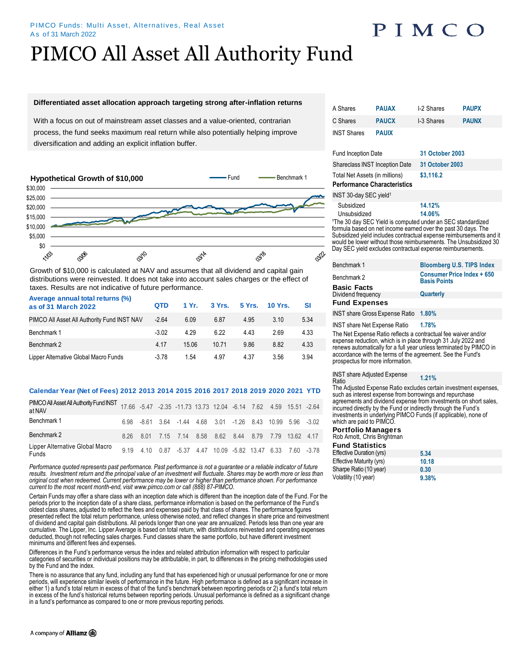## PIMCO

# PIMCO All Asset All Authority Fund

## **Differentiated asset allocation approach targeting strong after-inflation returns**

With a focus on out of mainstream asset classes and a value-oriented, contrarian process, the fund seeks maximum real return while also potentially helping improve diversification and adding an explicit inflation buffer.



Growth of \$10,000 is calculated at NAV and assumes that all dividend and capital gain distributions were reinvested. It does not take into account sales charges or the effect of taxes. Results are not indicative of future performance.

**Average annual total returns (%)**

| <b>Average annual total returns (%)</b><br>as of 31 March 2022 | <b>QTD</b> | 1 Yr. |       |       | 3 Yrs. 5 Yrs. 10 Yrs. | SI   |
|----------------------------------------------------------------|------------|-------|-------|-------|-----------------------|------|
| PIMCO All Asset All Authority Fund INST NAV                    | $-2.64$    | 6.09  | 6.87  | 4.95  | 3.10                  | 5.34 |
| Benchmark 1                                                    | $-3.02$    | 4 29  | 622   | 4 4 3 | 2.69                  | 4.33 |
| Benchmark 2                                                    | 4 1 7      | 15.06 | 10.71 | 986   | 8.82                  | 4.33 |
| Lipper Alternative Global Macro Funds                          | $-3.78$    | 1.54  | 4.97  | 4 37  | 3.56                  | 3.94 |

## **Calendar Year (Net of Fees) 2012 2013 2014 2015 2016 2017 2018 2019 2020 2021 YTD**

| PIMCO All Asset All Authority Fund INST 17.66 -5.47 -2.35 -11.73 13.73 12.04 -6.14 7.62 4.59 15.51 -2.64<br>at NAV |  |                                                             |  |  |  |  |
|--------------------------------------------------------------------------------------------------------------------|--|-------------------------------------------------------------|--|--|--|--|
| Benchmark 1                                                                                                        |  | 6.98 -8.61 3.64 -1.44 4.68 3.01 -1.26 8.43 10.99 5.96 -3.02 |  |  |  |  |
| Benchmark 2                                                                                                        |  | 8.26 8.01 7.15 7.14 8.58 8.62 8.44 8.79 7.79 13.62 4.17     |  |  |  |  |
| Lipper Alternative Global Macro<br>Funds                                                                           |  | 9.19 4.10 0.87 -5.37 4.47 10.09 -5.82 13.47 6.33 7.60 -3.78 |  |  |  |  |

*Performance quoted represents past performance. Past performance is not a guarantee or a reliable indicator of future*  results. Investment return and the principal value of an investment will fluctuate. Shares may be worth more or less than *original cost when redeemed. Current performance may be lower or higher than performance shown. For performance current to the most recent month-end, visit www.pimco.com or call (888) 87-PIMCO.*

Certain Funds may offer a share class with an inception date which is different than the inception date of the Fund. For the periods prior to the inception date of a share class, performance information is based on the performance of the Fund's oldest class shares, adjusted to reflect the fees and expenses paid by that class of shares. The performance figures presented reflect the total return performance, unless otherwise noted, and reflect changes in share price and reinvestment of dividend and capital gain distributions. All periods longer than one year are annualized. Periods less than one year are cumulative. The Lipper, Inc. Lipper Average is based on total return, with distributions reinvested and operating expenses deducted, though not reflecting sales charges. Fund classes share the same portfolio, but have different investment minimums and different fees and expenses.

Differences in the Fund's performance versus the index and related attribution information with respect to particular categories of securities or individual positions may be attributable, in part, to differences in the pricing methodologies used by the Fund and the index.

There is no assurance that any fund, including any fund that has experienced high or unusual performance for one or more periods, will experience similar levels of performance in the future. High performance is defined as a significant increase in either 1) a fund's total return in excess of that of the fund's benchmark between reporting periods or 2) a fund's total return in excess of the fund's historical returns between reporting periods. Unusual performance is defined as a significant change in a fund's performance as compared to one or more previous reporting periods.

| A Shares                                                                                                                                                                                                                                                                                                                                          | <b>PAUAX</b> | I-2 Shares             | <b>PAUPX</b> |  |  |  |
|---------------------------------------------------------------------------------------------------------------------------------------------------------------------------------------------------------------------------------------------------------------------------------------------------------------------------------------------------|--------------|------------------------|--------------|--|--|--|
| C Shares                                                                                                                                                                                                                                                                                                                                          | <b>PAUCX</b> | I-3 Shares             | <b>PAUNX</b> |  |  |  |
| <b>INST Shares</b>                                                                                                                                                                                                                                                                                                                                | <b>PAUIX</b> |                        |              |  |  |  |
| <b>Fund Inception Date</b>                                                                                                                                                                                                                                                                                                                        |              | <b>31 October 2003</b> |              |  |  |  |
| <b>Shareclass INST Inception Date</b>                                                                                                                                                                                                                                                                                                             |              | 31 October 2003        |              |  |  |  |
| Total Net Assets (in millions)                                                                                                                                                                                                                                                                                                                    |              | \$3,116.2              |              |  |  |  |
| <b>Performance Characteristics</b>                                                                                                                                                                                                                                                                                                                |              |                        |              |  |  |  |
| INST 30-day SEC yield <sup>1</sup>                                                                                                                                                                                                                                                                                                                |              |                        |              |  |  |  |
| Subsidized                                                                                                                                                                                                                                                                                                                                        |              | 14.12%                 |              |  |  |  |
| Unsubsidized                                                                                                                                                                                                                                                                                                                                      |              | 14.06%                 |              |  |  |  |
| <sup>1</sup> The 30 day SEC Yield is computed under an SEC standardized<br>formula based on net income earned over the past 30 days. The<br>Subsidized yield includes contractual expense reimbursements and it<br>would be lower without those reimbursements. The Unsubsidized 30<br>Day SEC yield excludes contractual expense reimbursements. |              |                        |              |  |  |  |

| Benchmark 1                          | <b>Bloomberg U.S. TIPS Index</b>                         |
|--------------------------------------|----------------------------------------------------------|
| Benchmark 2                          | <b>Consumer Price Index + 650</b><br><b>Basis Points</b> |
| <b>Basic Facts</b>                   |                                                          |
| Dividend frequency                   | Quarterly                                                |
| <b>Fund Expenses</b>                 |                                                          |
| INST share Gross Expense Ratio 1.80% |                                                          |

INST share Net Expense Ratio **1.78%** 

The Net Expense Ratio reflects a contractual fee waiver and/or expense reduction, which is in place through 31 July 2022 and renews automatically for a full year unless terminated by PIMCO in accordance with the terms of the agreement. See the Fund's prospectus for more information.

INST share Adjusted Expense Ratio **1.21%** 

The Adjusted Expense Ratio excludes certain investment expenses, such as interest expense from borrowings and repurchase agreements and dividend expense from investments on short sales, incurred directly by the Fund or indirectly through the Fund's investments in underlying PIMCO Funds (if applicable), none of which are paid to PIMCO.

### **Portfolio Managers**

| Rob Arnott, Chris Brightman |       |
|-----------------------------|-------|
| <b>Fund Statistics</b>      |       |
| Effective Duration (yrs)    | 5.34  |
| Effective Maturity (yrs)    | 10.18 |
| Sharpe Ratio (10 year)      | 0.30  |
| Volatility (10 year)        | 9.38% |